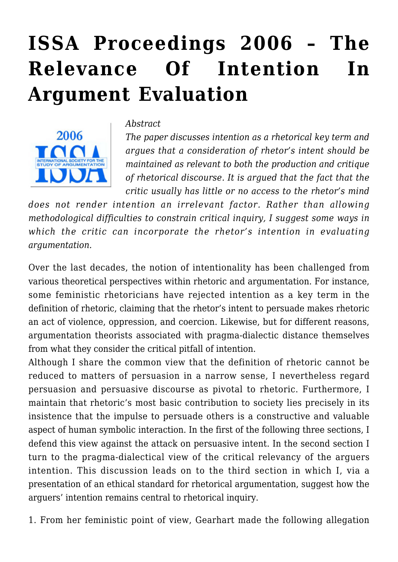## **[ISSA Proceedings 2006 – The](https://rozenbergquarterly.com/issa-proceedings-2006-the-relevance-of-intention-in-argument-evaluation/) [Relevance Of Intention In](https://rozenbergquarterly.com/issa-proceedings-2006-the-relevance-of-intention-in-argument-evaluation/) [Argument Evaluation](https://rozenbergquarterly.com/issa-proceedings-2006-the-relevance-of-intention-in-argument-evaluation/)**



*Abstract*

*The paper discusses intention as a rhetorical key term and argues that a consideration of rhetor's intent should be maintained as relevant to both the production and critique of rhetorical discourse. It is argued that the fact that the critic usually has little or no access to the rhetor's mind*

*does not render intention an irrelevant factor. Rather than allowing methodological difficulties to constrain critical inquiry, I suggest some ways in which the critic can incorporate the rhetor's intention in evaluating argumentation.*

Over the last decades, the notion of intentionality has been challenged from various theoretical perspectives within rhetoric and argumentation. For instance, some feministic rhetoricians have rejected intention as a key term in the definition of rhetoric, claiming that the rhetor's intent to persuade makes rhetoric an act of violence, oppression, and coercion. Likewise, but for different reasons, argumentation theorists associated with pragma-dialectic distance themselves from what they consider the critical pitfall of intention.

Although I share the common view that the definition of rhetoric cannot be reduced to matters of persuasion in a narrow sense, I nevertheless regard persuasion and persuasive discourse as pivotal to rhetoric. Furthermore, I maintain that rhetoric's most basic contribution to society lies precisely in its insistence that the impulse to persuade others is a constructive and valuable aspect of human symbolic interaction. In the first of the following three sections, I defend this view against the attack on persuasive intent. In the second section I turn to the pragma-dialectical view of the critical relevancy of the arguers intention. This discussion leads on to the third section in which I, via a presentation of an ethical standard for rhetorical argumentation, suggest how the arguers' intention remains central to rhetorical inquiry.

1. From her feministic point of view, Gearhart made the following allegation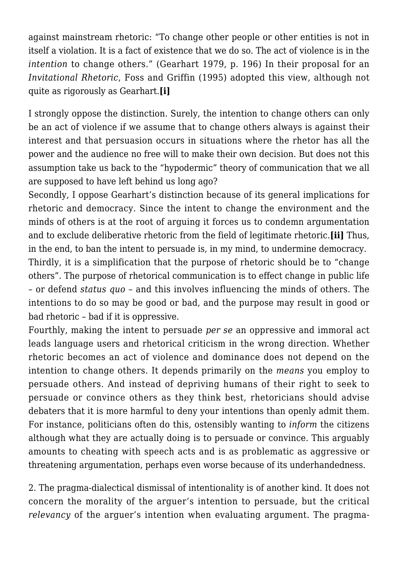against mainstream rhetoric: "To change other people or other entities is not in itself a violation. It is a fact of existence that we do so. The act of violence is in the *intention* to change others." (Gearhart 1979, p. 196) In their proposal for an *Invitational Rhetoric*, Foss and Griffin (1995) adopted this view, although not quite as rigorously as Gearhart.**[i]**

I strongly oppose the distinction. Surely, the intention to change others can only be an act of violence if we assume that to change others always is against their interest and that persuasion occurs in situations where the rhetor has all the power and the audience no free will to make their own decision. But does not this assumption take us back to the "hypodermic" theory of communication that we all are supposed to have left behind us long ago?

Secondly, I oppose Gearhart's distinction because of its general implications for rhetoric and democracy. Since the intent to change the environment and the minds of others is at the root of arguing it forces us to condemn argumentation and to exclude deliberative rhetoric from the field of legitimate rhetoric.**[ii]** Thus, in the end, to ban the intent to persuade is, in my mind, to undermine democracy. Thirdly, it is a simplification that the purpose of rhetoric should be to "change others". The purpose of rhetorical communication is to effect change in public life – or defend *status quo* – and this involves influencing the minds of others. The intentions to do so may be good or bad, and the purpose may result in good or bad rhetoric – bad if it is oppressive.

Fourthly, making the intent to persuade *per se* an oppressive and immoral act leads language users and rhetorical criticism in the wrong direction. Whether rhetoric becomes an act of violence and dominance does not depend on the intention to change others. It depends primarily on the *means* you employ to persuade others. And instead of depriving humans of their right to seek to persuade or convince others as they think best, rhetoricians should advise debaters that it is more harmful to deny your intentions than openly admit them. For instance, politicians often do this, ostensibly wanting to *inform* the citizens although what they are actually doing is to persuade or convince. This arguably amounts to cheating with speech acts and is as problematic as aggressive or threatening argumentation, perhaps even worse because of its underhandedness.

2. The pragma-dialectical dismissal of intentionality is of another kind. It does not concern the morality of the arguer's intention to persuade, but the critical *relevancy* of the arguer's intention when evaluating argument. The pragma-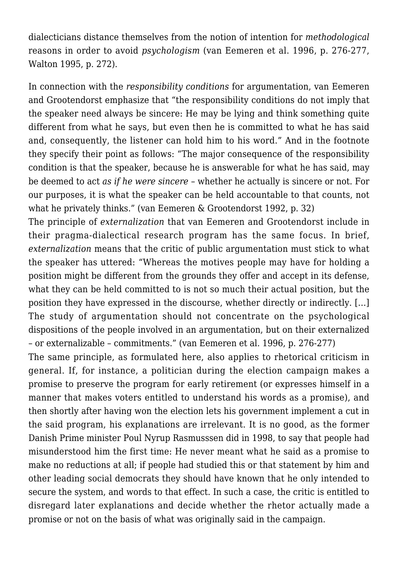dialecticians distance themselves from the notion of intention for *methodological* reasons in order to avoid *psychologism* (van Eemeren et al. 1996, p. 276-277, Walton 1995, p. 272).

In connection with the *responsibility conditions* for argumentation, van Eemeren and Grootendorst emphasize that "the responsibility conditions do not imply that the speaker need always be sincere: He may be lying and think something quite different from what he says, but even then he is committed to what he has said and, consequently, the listener can hold him to his word." And in the footnote they specify their point as follows: "The major consequence of the responsibility condition is that the speaker, because he is answerable for what he has said, may be deemed to act *as if he were sincere* – whether he actually is sincere or not. For our purposes, it is what the speaker can be held accountable to that counts, not what he privately thinks." (van Eemeren & Grootendorst 1992, p. 32)

The principle of *externalization* that van Eemeren and Grootendorst include in their pragma-dialectical research program has the same focus. In brief, *externalization* means that the critic of public argumentation must stick to what the speaker has uttered: "Whereas the motives people may have for holding a position might be different from the grounds they offer and accept in its defense, what they can be held committed to is not so much their actual position, but the position they have expressed in the discourse, whether directly or indirectly. […] The study of argumentation should not concentrate on the psychological dispositions of the people involved in an argumentation, but on their externalized – or externalizable – commitments." (van Eemeren et al. 1996, p. 276-277)

The same principle, as formulated here, also applies to rhetorical criticism in general. If, for instance, a politician during the election campaign makes a promise to preserve the program for early retirement (or expresses himself in a manner that makes voters entitled to understand his words as a promise), and then shortly after having won the election lets his government implement a cut in the said program, his explanations are irrelevant. It is no good, as the former Danish Prime minister Poul Nyrup Rasmusssen did in 1998, to say that people had misunderstood him the first time: He never meant what he said as a promise to make no reductions at all; if people had studied this or that statement by him and other leading social democrats they should have known that he only intended to secure the system, and words to that effect. In such a case, the critic is entitled to disregard later explanations and decide whether the rhetor actually made a promise or not on the basis of what was originally said in the campaign.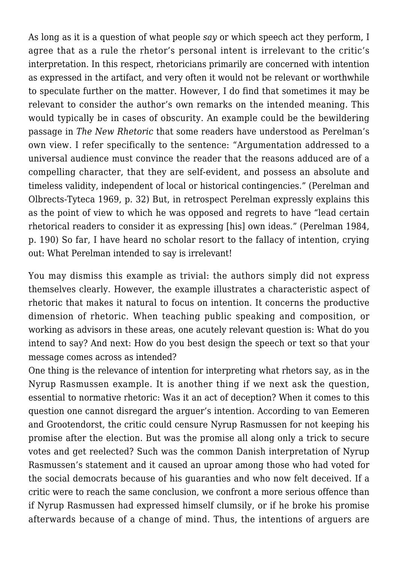As long as it is a question of what people *say* or which speech act they perform, I agree that as a rule the rhetor's personal intent is irrelevant to the critic's interpretation. In this respect, rhetoricians primarily are concerned with intention as expressed in the artifact, and very often it would not be relevant or worthwhile to speculate further on the matter. However, I do find that sometimes it may be relevant to consider the author's own remarks on the intended meaning. This would typically be in cases of obscurity. An example could be the bewildering passage in *The New Rhetoric* that some readers have understood as Perelman's own view. I refer specifically to the sentence: "Argumentation addressed to a universal audience must convince the reader that the reasons adduced are of a compelling character, that they are self-evident, and possess an absolute and timeless validity, independent of local or historical contingencies." (Perelman and Olbrects-Tyteca 1969, p. 32) But, in retrospect Perelman expressly explains this as the point of view to which he was opposed and regrets to have "lead certain rhetorical readers to consider it as expressing [his] own ideas." (Perelman 1984, p. 190) So far, I have heard no scholar resort to the fallacy of intention, crying out: What Perelman intended to say is irrelevant!

You may dismiss this example as trivial: the authors simply did not express themselves clearly. However, the example illustrates a characteristic aspect of rhetoric that makes it natural to focus on intention. It concerns the productive dimension of rhetoric. When teaching public speaking and composition, or working as advisors in these areas, one acutely relevant question is: What do you intend to say? And next: How do you best design the speech or text so that your message comes across as intended?

One thing is the relevance of intention for interpreting what rhetors say, as in the Nyrup Rasmussen example. It is another thing if we next ask the question, essential to normative rhetoric: Was it an act of deception? When it comes to this question one cannot disregard the arguer's intention. According to van Eemeren and Grootendorst, the critic could censure Nyrup Rasmussen for not keeping his promise after the election. But was the promise all along only a trick to secure votes and get reelected? Such was the common Danish interpretation of Nyrup Rasmussen's statement and it caused an uproar among those who had voted for the social democrats because of his guaranties and who now felt deceived. If a critic were to reach the same conclusion, we confront a more serious offence than if Nyrup Rasmussen had expressed himself clumsily, or if he broke his promise afterwards because of a change of mind. Thus, the intentions of arguers are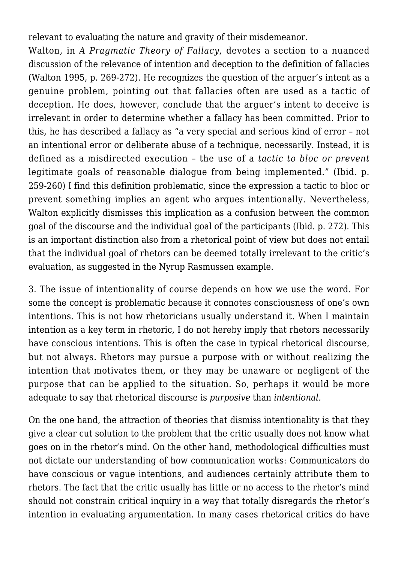relevant to evaluating the nature and gravity of their misdemeanor.

Walton, in *A Pragmatic Theory of Fallacy*, devotes a section to a nuanced discussion of the relevance of intention and deception to the definition of fallacies (Walton 1995, p. 269-272). He recognizes the question of the arguer's intent as a genuine problem, pointing out that fallacies often are used as a tactic of deception. He does, however, conclude that the arguer's intent to deceive is irrelevant in order to determine whether a fallacy has been committed. Prior to this, he has described a fallacy as "a very special and serious kind of error – not an intentional error or deliberate abuse of a technique, necessarily. Instead, it is defined as a misdirected execution – the use of a *tactic to bloc or prevent* legitimate goals of reasonable dialogue from being implemented." (Ibid. p. 259-260) I find this definition problematic, since the expression a tactic to bloc or prevent something implies an agent who argues intentionally. Nevertheless, Walton explicitly dismisses this implication as a confusion between the common goal of the discourse and the individual goal of the participants (Ibid. p. 272). This is an important distinction also from a rhetorical point of view but does not entail that the individual goal of rhetors can be deemed totally irrelevant to the critic's evaluation, as suggested in the Nyrup Rasmussen example.

3. The issue of intentionality of course depends on how we use the word. For some the concept is problematic because it connotes consciousness of one's own intentions. This is not how rhetoricians usually understand it. When I maintain intention as a key term in rhetoric, I do not hereby imply that rhetors necessarily have conscious intentions. This is often the case in typical rhetorical discourse, but not always. Rhetors may pursue a purpose with or without realizing the intention that motivates them, or they may be unaware or negligent of the purpose that can be applied to the situation. So, perhaps it would be more adequate to say that rhetorical discourse is *purposive* than *intentional.*

On the one hand, the attraction of theories that dismiss intentionality is that they give a clear cut solution to the problem that the critic usually does not know what goes on in the rhetor's mind. On the other hand, methodological difficulties must not dictate our understanding of how communication works: Communicators do have conscious or vague intentions, and audiences certainly attribute them to rhetors. The fact that the critic usually has little or no access to the rhetor's mind should not constrain critical inquiry in a way that totally disregards the rhetor's intention in evaluating argumentation. In many cases rhetorical critics do have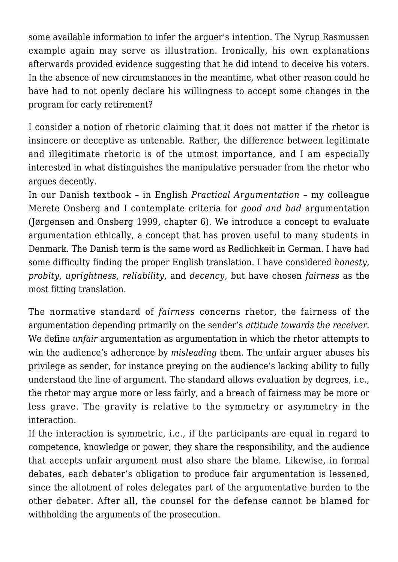some available information to infer the arguer's intention. The Nyrup Rasmussen example again may serve as illustration. Ironically, his own explanations afterwards provided evidence suggesting that he did intend to deceive his voters. In the absence of new circumstances in the meantime, what other reason could he have had to not openly declare his willingness to accept some changes in the program for early retirement?

I consider a notion of rhetoric claiming that it does not matter if the rhetor is insincere or deceptive as untenable. Rather, the difference between legitimate and illegitimate rhetoric is of the utmost importance, and I am especially interested in what distinguishes the manipulative persuader from the rhetor who argues decently.

In our Danish textbook – in English *Practical Argumentation* – my colleague Merete Onsberg and I contemplate criteria for *good and bad* argumentation (Jørgensen and Onsberg 1999, chapter 6). We introduce a concept to evaluate argumentation ethically, a concept that has proven useful to many students in Denmark. The Danish term is the same word as Redlichkeit in German. I have had some difficulty finding the proper English translation. I have considered *honesty, probity, uprightness, reliability*, and *decency,* but have chosen *fairness* as the most fitting translation.

The normative standard of *fairness* concerns rhetor, the fairness of the argumentation depending primarily on the sender's *attitude towards the receiver.* We define *unfair* argumentation as argumentation in which the rhetor attempts to win the audience's adherence by *misleading* them. The unfair arguer abuses his privilege as sender, for instance preying on the audience's lacking ability to fully understand the line of argument. The standard allows evaluation by degrees, i.e., the rhetor may argue more or less fairly, and a breach of fairness may be more or less grave. The gravity is relative to the symmetry or asymmetry in the interaction.

If the interaction is symmetric, i.e., if the participants are equal in regard to competence, knowledge or power, they share the responsibility, and the audience that accepts unfair argument must also share the blame. Likewise, in formal debates, each debater's obligation to produce fair argumentation is lessened, since the allotment of roles delegates part of the argumentative burden to the other debater. After all, the counsel for the defense cannot be blamed for withholding the arguments of the prosecution.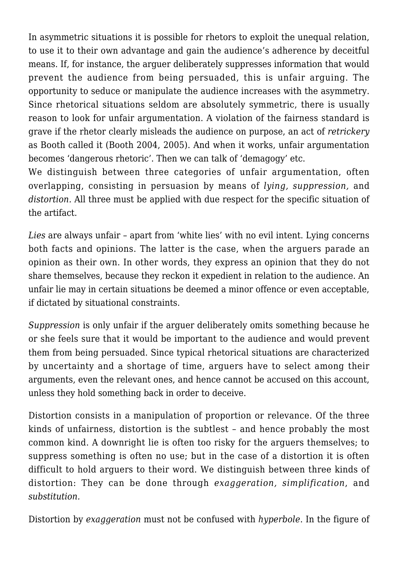In asymmetric situations it is possible for rhetors to exploit the unequal relation, to use it to their own advantage and gain the audience's adherence by deceitful means. If, for instance, the arguer deliberately suppresses information that would prevent the audience from being persuaded, this is unfair arguing. The opportunity to seduce or manipulate the audience increases with the asymmetry. Since rhetorical situations seldom are absolutely symmetric, there is usually reason to look for unfair argumentation. A violation of the fairness standard is grave if the rhetor clearly misleads the audience on purpose, an act of *retrickery* as Booth called it (Booth 2004, 2005). And when it works, unfair argumentation becomes 'dangerous rhetoric'. Then we can talk of 'demagogy' etc.

We distinguish between three categories of unfair argumentation, often overlapping, consisting in persuasion by means of *lying, suppression,* and *distortion.* All three must be applied with due respect for the specific situation of the artifact.

*Lies* are always unfair – apart from 'white lies' with no evil intent. Lying concerns both facts and opinions. The latter is the case, when the arguers parade an opinion as their own. In other words, they express an opinion that they do not share themselves, because they reckon it expedient in relation to the audience. An unfair lie may in certain situations be deemed a minor offence or even acceptable, if dictated by situational constraints.

*Suppression* is only unfair if the arguer deliberately omits something because he or she feels sure that it would be important to the audience and would prevent them from being persuaded. Since typical rhetorical situations are characterized by uncertainty and a shortage of time, arguers have to select among their arguments, even the relevant ones, and hence cannot be accused on this account, unless they hold something back in order to deceive.

Distortion consists in a manipulation of proportion or relevance. Of the three kinds of unfairness, distortion is the subtlest – and hence probably the most common kind. A downright lie is often too risky for the arguers themselves; to suppress something is often no use; but in the case of a distortion it is often difficult to hold arguers to their word. We distinguish between three kinds of distortion: They can be done through *exaggeration, simplification*, and *substitution.*

Distortion by *exaggeration* must not be confused with *hyperbole*. In the figure of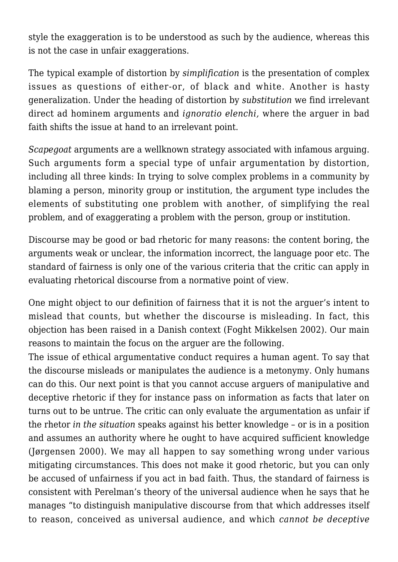style the exaggeration is to be understood as such by the audience, whereas this is not the case in unfair exaggerations.

The typical example of distortion by *simplification* is the presentation of complex issues as questions of either-or, of black and white. Another is hasty generalization. Under the heading of distortion by *substitution* we find irrelevant direct ad hominem arguments and *ignoratio elenchi,* where the arguer in bad faith shifts the issue at hand to an irrelevant point.

*Scapegoat* arguments are a wellknown strategy associated with infamous arguing. Such arguments form a special type of unfair argumentation by distortion, including all three kinds: In trying to solve complex problems in a community by blaming a person, minority group or institution, the argument type includes the elements of substituting one problem with another, of simplifying the real problem, and of exaggerating a problem with the person, group or institution.

Discourse may be good or bad rhetoric for many reasons: the content boring, the arguments weak or unclear, the information incorrect, the language poor etc. The standard of fairness is only one of the various criteria that the critic can apply in evaluating rhetorical discourse from a normative point of view.

One might object to our definition of fairness that it is not the arguer's intent to mislead that counts, but whether the discourse is misleading. In fact, this objection has been raised in a Danish context (Foght Mikkelsen 2002). Our main reasons to maintain the focus on the arguer are the following.

The issue of ethical argumentative conduct requires a human agent. To say that the discourse misleads or manipulates the audience is a metonymy. Only humans can do this. Our next point is that you cannot accuse arguers of manipulative and deceptive rhetoric if they for instance pass on information as facts that later on turns out to be untrue. The critic can only evaluate the argumentation as unfair if the rhetor *in the situation* speaks against his better knowledge – or is in a position and assumes an authority where he ought to have acquired sufficient knowledge (Jørgensen 2000). We may all happen to say something wrong under various mitigating circumstances. This does not make it good rhetoric, but you can only be accused of unfairness if you act in bad faith. Thus, the standard of fairness is consistent with Perelman's theory of the universal audience when he says that he manages "to distinguish manipulative discourse from that which addresses itself to reason, conceived as universal audience, and which *cannot be deceptive*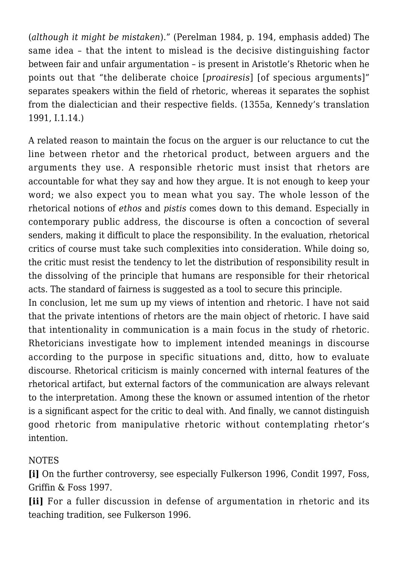(*although it might be mistaken*)." (Perelman 1984, p. 194, emphasis added) The same idea – that the intent to mislead is the decisive distinguishing factor between fair and unfair argumentation – is present in Aristotle's Rhetoric when he points out that "the deliberate choice [*proairesis*] [of specious arguments]" separates speakers within the field of rhetoric, whereas it separates the sophist from the dialectician and their respective fields. (1355a, Kennedy's translation 1991, I.1.14.)

A related reason to maintain the focus on the arguer is our reluctance to cut the line between rhetor and the rhetorical product, between arguers and the arguments they use. A responsible rhetoric must insist that rhetors are accountable for what they say and how they argue. It is not enough to keep your word; we also expect you to mean what you say. The whole lesson of the rhetorical notions of *ethos* and *pistis* comes down to this demand. Especially in contemporary public address, the discourse is often a concoction of several senders, making it difficult to place the responsibility. In the evaluation, rhetorical critics of course must take such complexities into consideration. While doing so, the critic must resist the tendency to let the distribution of responsibility result in the dissolving of the principle that humans are responsible for their rhetorical acts. The standard of fairness is suggested as a tool to secure this principle.

In conclusion, let me sum up my views of intention and rhetoric. I have not said that the private intentions of rhetors are the main object of rhetoric. I have said that intentionality in communication is a main focus in the study of rhetoric. Rhetoricians investigate how to implement intended meanings in discourse according to the purpose in specific situations and, ditto, how to evaluate discourse. Rhetorical criticism is mainly concerned with internal features of the rhetorical artifact, but external factors of the communication are always relevant to the interpretation. Among these the known or assumed intention of the rhetor is a significant aspect for the critic to deal with. And finally, we cannot distinguish good rhetoric from manipulative rhetoric without contemplating rhetor's intention.

## NOTES

**[i]** On the further controversy, see especially Fulkerson 1996, Condit 1997, Foss, Griffin & Foss 1997.

**[ii]** For a fuller discussion in defense of argumentation in rhetoric and its teaching tradition, see Fulkerson 1996.